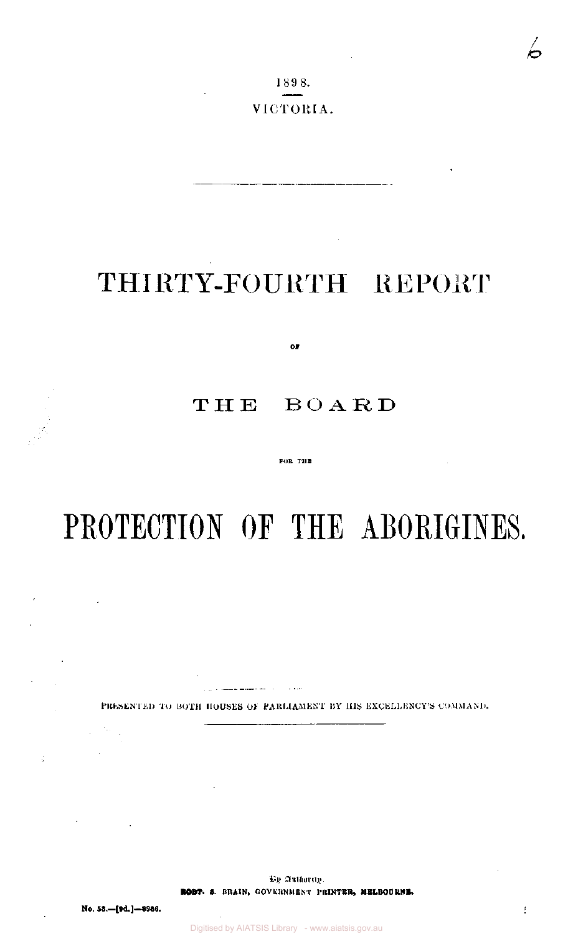1898. VICTORIA.

# THIRTY-FOURTH REPORT

 $O\bar{r}$ 

# THE BOARD

### FOR THE

# PROTECTION OF THE ABORIGINES.

PRESENTED TO BOTH HOUSES OF PARLIAMENT BY HIS EXCELLENCY'S COMMAND.

 $\sim$ 

By Authority. **ROBT. S. BRAIN,** GOVERNMENT P**RINTER, MELBOURNE.** 

 $\sim$ 

 $\frac{1}{\sqrt{2}}$ 

 $\sim 10^{-11}$ 

 $\mathcal{L}^{\mathcal{L}}$ 

 $\mathcal{L}_{\mathrm{max}}$ 

ś.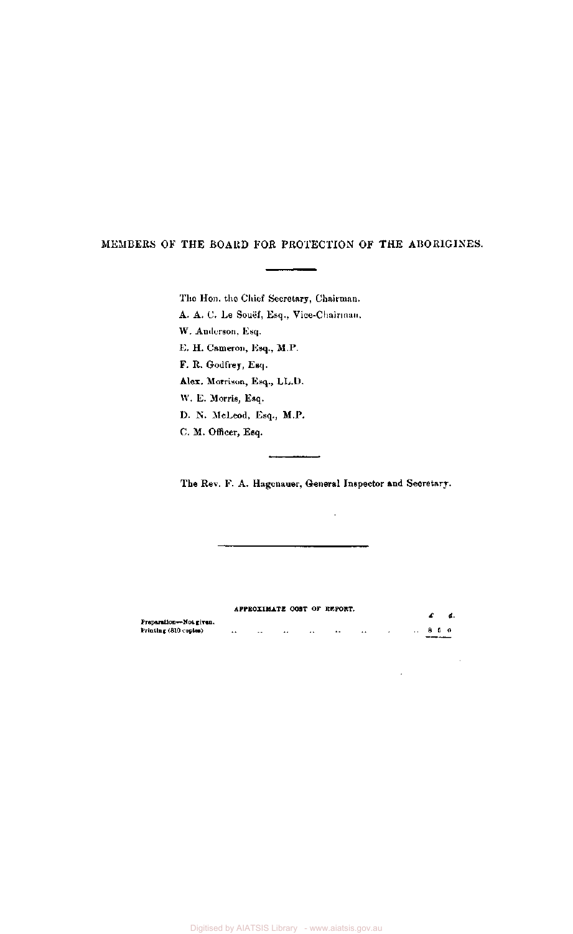### MEMBERS OF THE BOARD FOR PROTECTION OF THE ABORIGINES.

The Hon. the Chief Secretary, Chairman.

A. A. C. Le Souef, Esq., Vice-Chairman.

W. Anderson, Esq.

E. H. Cameron, Esq., M.P.

F. R. Godfrey, Esq.

Alex. Morrison, Esq., LL.D.

W. E. Morris, Esq.

D. N. McLeod, Esq., M.P.

C. M. Officer, Esq.

The Rev. F. A. Hagenauer, General Inspector and Secretary.

 $\sim$ 

 $\bar{a}$ 

 $\bar{z}$ 

**APPROXIMATE COST OF REPORT.**   $\mathcal{L}$  d. **Preparation—Not given.**   $\begin{array}{c|cccc}\n\cdot & 8 & 5 & 0 \\
\hline\n\end{array}$ **Printing (810 copies)**   $\Delta\Delta$  $\sim 100$ المنفس المقارب القواري الموارد  $\mathcal{A}$ 

Digitised by AIATSIS Library - www.aiatsis.gov.au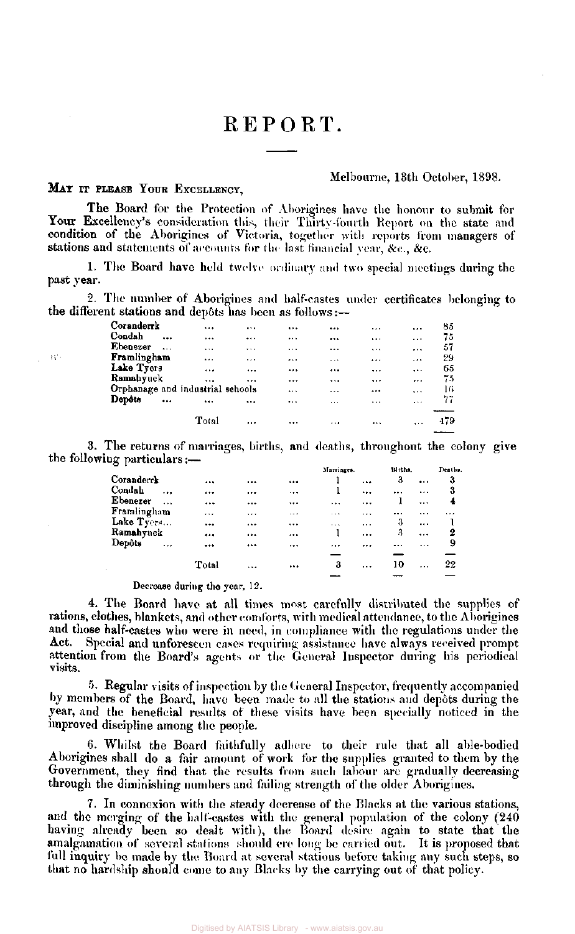# REPORT.

### MAY IT PLEASE YOUR EXCELLENCY,

 $\Omega^{\pm}$ 

### Melbourne, 13th October, 1898.

The Board for the Protection of Aborigines have the honour to submit for Your Excellency's consideration this, their Thirty-fourth Report on the state and condition of the Aborigines of Victoria, together with reports from managers of stations and statements of accounts for the last financial year, &c., &c.

1. The Board have held twelve ordinary and two special meetings during the past year.

2. The number of Aborigines and half-castes under certificates belonging to the different stations and depôts has been as follows:—

| Coranderrk                       |           |          | $\cdots$ |          | $$       | $\cdots$ |          | 85  |
|----------------------------------|-----------|----------|----------|----------|----------|----------|----------|-----|
| Condah                           | $\ddotsc$ |          |          |          |          |          | $\cdots$ | 75  |
| Ebenezer                         |           |          |          |          |          | $\cdots$ | $\cdots$ | 57  |
| Framlingham                      |           |          | $\cdots$ |          | $\cdots$ |          |          | 29  |
| Lake Tyers                       |           | $\cdots$ | $\cdots$ |          |          |          | $\cdots$ | 65  |
| Ramahyuck                        |           |          |          |          |          |          | $\cdots$ | 75  |
| Orphanage and industrial schools |           |          |          |          | $\cdots$ |          | $\cdots$ | 16  |
| Depôts                           | $\ddotsc$ |          |          |          | 1.1.3    |          | $\cdots$ | 77  |
|                                  |           |          |          |          |          |          |          |     |
|                                  |           | Total    |          | $\cdots$ | $+ + +$  |          | $\cdots$ | 479 |
|                                  |           |          |          |          |          |          |          |     |

3. The returns of marriages, births, and deaths, throughout the colony give the following particulars:—

|                                |           |       |              | Marriages. |          | Births.  |          | Deaths.   |
|--------------------------------|-----------|-------|--------------|------------|----------|----------|----------|-----------|
| Coranderrk                     |           |       | <br>         |            |          | 3        | $\cdots$ | 3         |
| Condah                         | $\ddotsc$ |       | <br>         |            |          | $\cdots$ |          | 3         |
| Ebenezer                       | $\cdots$  |       | <br>         |            |          |          |          | 4         |
| Framlingham                    |           |       | <br>$- - +$  |            |          |          |          | $\ddotsc$ |
| Lake Tyers                     |           |       | <br>$\cdots$ | $\cdots$   | $\cdots$ | 3        | $\cdots$ |           |
| Ramahyuck                      |           |       | <br>$\cdots$ |            | $\cdots$ | З        | $\cdots$ | 2         |
| $\mathbf{Dep} \mathfrak{d}$ ts | $\ddotsc$ |       | <br>         |            | $\cdots$ |          |          | 9         |
|                                |           |       |              |            |          |          |          |           |
|                                |           | Total | <br>         | 3          | $\cdots$ | 10       |          | 22        |
|                                |           |       |              |            |          |          |          |           |

Decrease during the year, 12.

4. The Board have at all times most carefully distributed the supplies of rations, clothes, blankets, and other comforts, with medical attendance, to the Aborigines and those half-castes who were in need, in compliance with the regulations under the Act. Special and unforeseen cases requiring assistance have always received prompt attention from the Board's agents or the General Inspector during his periodical visits.

5. Regular visits of inspection by the General Inspector, frequently accompanied by members of the Board, have been made to all the stations and depots during the year, and the beneficial results of these visits have been specially noticed in the improved discipline among the people.

6. Whilst the Board faithfully adhere to their rule that all able-bodied Aborigines shall do a fair amount of work for the supplies granted to them by the Government, they find that the results from such labour are gradually decreasing through the diminishing numbers and failing strength of the older Aborigines.

7. In connexion with the steady decrease of the Blacks at the various stations, and the merging of the half-castes with the general population of the colony (240 having already been so dealt with), the Board desire again to state that the amalgamation of several stations should ere long be carried out. It is proposed that full inquiry be made by the Board at several stations before taking any such steps, so that no hardship should come to any Blacks by the carrying out of that policy.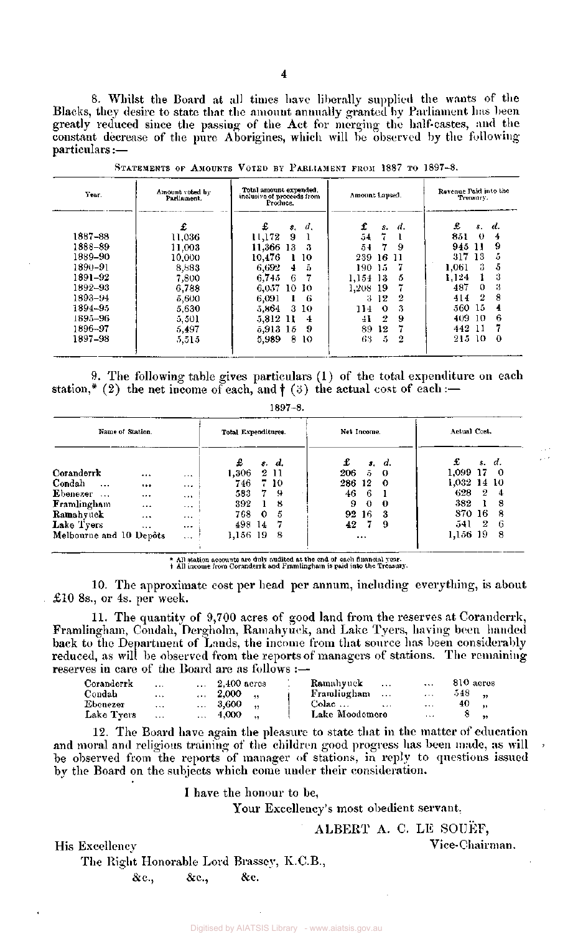8. Whilst the Board at all times have liberally supplied the wants of the Blacks, they desire to state that the amount annually granted by Parliament has been greatly reduced since the passing of the Act for merging the half-castes, and the constant decrease of the pure Aborigines, which will be observed by the following particulars:—

| Year.   | Amount voted by<br>Parliament. | Total amount expended.<br>inclusive of proceeds from<br>Produce. | Amount Lapsed.        | Revenue Paid into the<br>Treasury. |  |  |  |  |
|---------|--------------------------------|------------------------------------------------------------------|-----------------------|------------------------------------|--|--|--|--|
|         | £                              | £<br>d.<br>\$.                                                   | £<br>d.<br>s.         | £<br>d.<br>8.                      |  |  |  |  |
| 1887–88 | 11,036                         | 9<br>11,172                                                      | 7.<br>54              | 851<br>0<br>4                      |  |  |  |  |
| 1888-89 | 11,003                         | 11,366 13<br>з                                                   | -9<br>54<br>7         | 9<br>945<br>11                     |  |  |  |  |
| 1889-90 | 10.000                         | 10,476<br>-10                                                    | 239 16<br>-11         | 5<br>317<br>13                     |  |  |  |  |
| 1890-91 | 8,883                          | 6.692<br>-ō.<br>4                                                | 7<br>190-15           | 5<br>1,061<br>3                    |  |  |  |  |
| 1891-92 | 7,800                          | 6,745<br>6                                                       | $1,154$ 13<br>5       | 3<br>1.124                         |  |  |  |  |
| 1892-93 | 6,788                          | 6,057<br>10-10                                                   | 1,208 19              | 3<br>487<br>0                      |  |  |  |  |
| 1893-94 | 5,600                          | 6.091<br>-6<br>1.                                                | 2<br>12<br>3          | 8<br>-2<br>414                     |  |  |  |  |
| 1894–95 | 5,630                          | 5,864<br>3<br>-10                                                | 3<br>114.<br>$\Omega$ | 15<br>560.<br>4                    |  |  |  |  |
| 1895–96 | 5,501                          | 5,812 11<br>4                                                    | 9<br>9.<br>41         | 6<br>409.<br>10.                   |  |  |  |  |
| 1896–97 | 5,497                          | 5,913 15<br>9                                                    | 7<br>12<br>89         | 442<br>11                          |  |  |  |  |
| 1897–98 | 5,515                          | 8<br>5,989<br>10                                                 | 5<br>63<br>2          | $\bf{0}$<br>215 10                 |  |  |  |  |

STATEMENTS OF AMOUNTS VOTED BY PARLIAMENT FROM 1887 TO 1897–8.

9. The following table gives particulars (1) of the total expenditure on each station,\* (2) the net income of each, and  $\dagger$  (3) the actual cost of each:-

|--|--|

| Name of Station.                 |          |          | Total Expenditures. |    |       |        | Net Income. |       |             | Actual Cost. |     |  |  |  |
|----------------------------------|----------|----------|---------------------|----|-------|--------|-------------|-------|-------------|--------------|-----|--|--|--|
|                                  |          |          | £                   |    | s. d. | £      |             | s, d. | £           | s. d.        |     |  |  |  |
| Coranderrk                       |          | $\cdots$ | 1.306               |    | 2 11  | 206    | 5.          | -0    | 1.099 17    |              | - 0 |  |  |  |
| Condah<br>$\sim$ $\sim$ $\sim$   |          | $\cdots$ | 746                 |    | 7 10  | 286 12 |             | -0    | 1,032 14 10 |              |     |  |  |  |
| Ebenezer<br>$\sim$ $\sim$ $\sim$ |          | $\cdots$ | 583                 | 7  | 9     | 46     | -6          |       | 628         | 2            | 4   |  |  |  |
| Framlingham                      |          | $\cdots$ | 392                 |    | 8     | 9      | $\bf{0}$    | 0     | 382         |              | 8   |  |  |  |
| Ramahyuck                        | $\cdots$ | $\cdots$ | 768                 | 0  | 5     | 92 16  |             | 3     | 870 16      |              | -8  |  |  |  |
| Lake Tyers                       | $\cdots$ | $\cdots$ | 498 -               | 14 | -7    | 42.    | 7           | 9     | 541         | 2            | -6  |  |  |  |
| Melbourne and 10 Depôts          |          | $\cdots$ | 1,156 19            |    | -8    |        |             |       | 1,156–19    |              | 8   |  |  |  |

\* All station accounts are duly audited at the end of each financial year, All income from Coranderrk and Framlingham is paid into the Treasury.

10. The approximate cost per head per annum, including everything, is about £10 8s., or 4s. per week.

11. The quantity of 9,700 acres of good land from the reserves at Coranderrk, Framlingham, Condah, Dergholm, Ramahyuck, and Lake Tyers, having been handed back to the Department of Lands, the income from that source has been considerably reduced, as will be observed from the reports of managers of stations. The remaining reserves in care of the Board are as follows :—

| Coranderrk | $\sim$ $\sim$ $\sim$ | $\ldots$ 2,400 acres | Ramahyuck<br><b>Contract Contract</b> | $\sim$                                     | 810 acres |
|------------|----------------------|----------------------|---------------------------------------|--------------------------------------------|-----------|
| Condah     |                      | $\ldots$ 2,000       | Framlingham                           | $\mathbf{r}$ , $\mathbf{r}$ , $\mathbf{r}$ | $-548$ .  |
| Ebenezer   | $\sim$ 1.0 $\sim$    | $\ldots$ 3,600       | Colac<br>$\sim$                       | $\cdot$ .                                  | 40 .      |
| Lake Tyers | <b>Section</b>       | $\ldots$ 4,000       | Lake Moodemere                        | $\sim 100$                                 | 8.        |

12. The Board have again the pleasure to state that in the matter of education and moral and religious training of the children good progress has been made, as will be observed from the reports of manager of stations, in reply to questions issued by the Board on the subjects which come under their consideration.

I have the honour to be,

Your Excellency's most obedient servant,

## ALBERT A. C. LE SOUEF,

His Excellency Vice-Chairman.

The Right Honorable Lord Brassey, K.C.B.,

& c., & c., & c.

AIATSIS Library - www.aiatsis.gov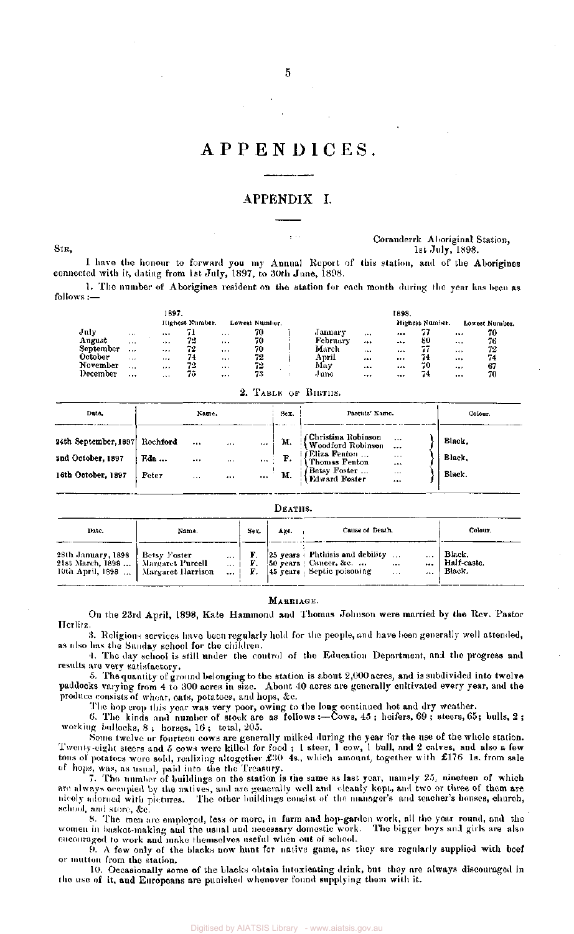## APPENDICES.

### APPENDIX I.

SIR ,

### Coranderrk Aboriginal Station, 1st July , 1898.

connected with it, dating from 1st July, 1897, to 30th June, 1898. I have the honour to forward you my Annual Report of this station, and of the Aborigines

follows : 1. The number of Aborigines resident on the station for each month during the year has been as

|           |          | 1897.    |                 |          |                |          |          | 1898. |                 |          |                |
|-----------|----------|----------|-----------------|----------|----------------|----------|----------|-------|-----------------|----------|----------------|
|           |          |          | Highest Number. |          | Lowest Number. |          |          |       | Highest Number. |          | Lowest Number. |
| July      | $\cdots$ |          |                 | $\cdots$ | 70             | January  | $\cdots$ |       | 77              | 1.11     | 70             |
| August    | $\cdots$ |          | 72              |          | 70             | February |          |       | 80              |          | 76             |
| September |          |          | 72              | $\cdots$ | 70             | March    | 1.5.4    |       | --<br>77        | $\cdots$ | 72             |
| October   | $\cdots$ | $1 + 4$  | 74              |          | 72             | April    | $\cdots$ |       | 74              |          | 74             |
| November  | $\cdots$ |          | 72              | $\cdots$ | 72             | May      | $\cdots$ |       | 70              |          | 67             |
| December  |          | $\cdots$ | 75              |          | 73             | June     |          |       | 74              |          | 70             |

### 2. TABLE OF BIRTHS.

| Date.                                                           |                          | Name.                     |                                | Sex.                                                                     | Parents' Name.                                                                                                                                                                      | Colour.                    |
|-----------------------------------------------------------------|--------------------------|---------------------------|--------------------------------|--------------------------------------------------------------------------|-------------------------------------------------------------------------------------------------------------------------------------------------------------------------------------|----------------------------|
| 24th September, 1897<br>2nd October, 1897<br>16th October, 1897 | Rochford<br>Eda<br>Peter | $\ddotsc$<br><br>$\cdots$ | <br>$\mathbf{r}$ .<br>$\cdots$ | <br>М.<br>$\ldots$ $\vdash$ F.<br>$\mathbf{m}$ $\mathbf{M}$ $\mathbf{M}$ | (Christina Robinson<br>Woodford Robinson<br>  <i>Eliza Fenton</i><br>  Thomas Fenton<br>$\cdots$<br><br><b><i>Getsy Foster</i></b><br><b><i>Kdward Foster</i></b><br>$\cdots$<br>$$ | Black.<br>Black.<br>Black. |

#### DEATHS. Colour. Date. Sex. Age. Cause of Death. Name. 25 years Phthisis and debility ...<br>50 years | Cancer, &c. ... ... 28th January , 1898 Betsy Foster F. Black.  $\cdots$ 21st March, 1898 ... Margaret Purcell Cancer, &c. Half-caste.  $\ddotsc$ F.<br>F. 45 years | Septic poisoning Black. 10th April, 1898 ... Margaret Harrison ...  $\ddotsc$  $\ddotsc$

### MARRIAGE.

On the 23rd April, 1898, Kate Hammond and Thomas Johnson were married by the Rev. Pastor Herlitz.

3. Religious services have been regularly held for the people, and have been generally well attended, as also has the Sunday school for the children.

4. The day school is still under the control of the Education Department, and the progress and results are very satisfactory.

5. The quantity of ground belonging to the station is about 2,000 acres, and is subdivided into twelve paddocks varying from 4 to 300 acres in size. About 40 acres are generally cultivated every year, and the produce consists of wheat, oats, potatoes, and hops, &c.

The hop crop this year was very poor, owing to the long continued hot and dry weather.

6. The kinds and number of stock are as follows :—Cows, 45 ; heifers, 69 ; steers, 65; bulls, 2 ; working bullocks, 8 ; horses, 16 ; total, 205.

Some twelve or fourteen cows are generally milked during the year for the use of the whole station. Twenty-eight steers and 5 cows were killed for food ; 1 steer, 1 cow, 1 bull, and 2 calves, and also a few tons of potatoes were sold, realizing altogether £30 4s., which amount, together with £176 1s. from sale of hops, was, as usual, paid into the the Treasury.

7. The number of buildings on the station is the same as last year, namely 25, nineteen of which are always occupied by the natives, and are generally well and cleanly kept, and two or three of them are nicely adorned with pictures. The other buildings consist of the manager's and teacher's houses, church, school, and store, &c.

8. The men arc employed, less or more, in farm and hop-garden work, all the year round, and the women in basket-making and the usual and necessary domestic work. The bigger boys and girls are also encouraged to work and make themselves useful when out of school.

9. A few only of the blacks now hunt for native game, as they are regularly supplied with beef or mutton from the station.

10. Occasionally some of the blacks obtain intoxicating drink, but they are always discouraged in the use of it, and Europeans are punished whenever found supplying them with it.

5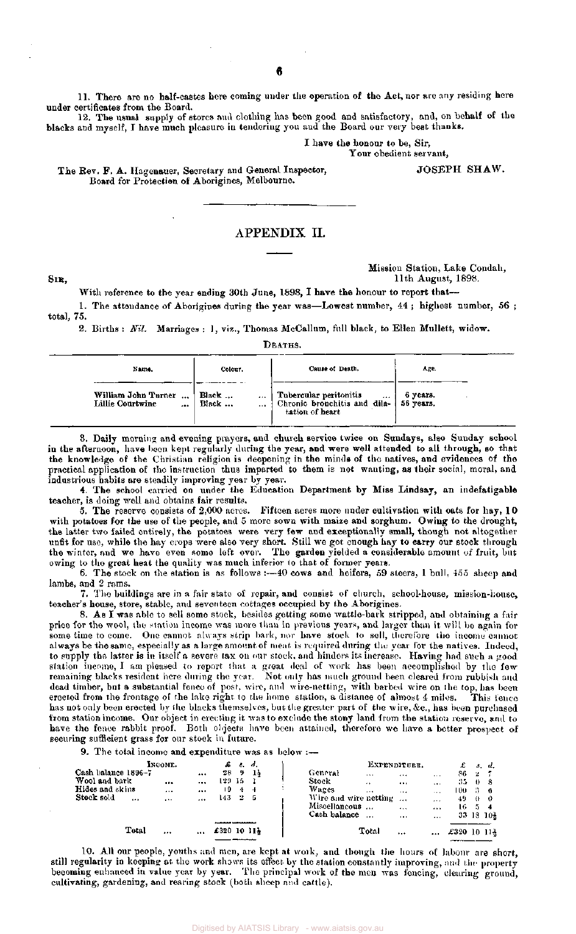11. There are no half-castes here coming under the operation of the Act, nor are any residing here under certificates from the Board.

12. The usual supply of stores and clothing has been good and satisfactory, and, on behalf of the blacks and myself, I have much pleasure in tendering you and the Board our very best thanks.

I have the honour to be, Sir,

Your obedient servant,

The Rev. F. A. Hagenauer, Secretary and General Inspector, Board for Protection of Aborigines, Melbourne.

### APPENDIX II.

Mission Station, Lake Condah, **SIR ,** 11th August, 1898.

JOSEPH SHAW.

With reference to the year ending 30th June, 1898, I have the honour to report that— 1. The attendance of Aborigines during the year was—Lowest number, 44; highest number, 56; total, 75.

2. Births : Nil. Marriages : 1, viz., Thomas McCallum, full black, to Ellen Mullett, widow.

DEATHS.

| Name.                                       | Colour.                | Cause of Death.                                                                           | Age.     |
|---------------------------------------------|------------------------|-------------------------------------------------------------------------------------------|----------|
| William John Turner<br>Lillie Courtwine<br> | Black<br><br>Black<br> | Tubercular peritonitis<br><br>Chronic bronchitis and dila-   56 years.<br>tation of heart | 6 vears. |

3. Daily morning and evening prayers, and church service twice on Sundays, also Sunday school in the afternoon, have been kept regularly during the year, and were well attended to all through, so that the knowledge of the Christian religion is deepening in the minds of the natives, and evidences of the practical application of the instruction thus imparted to them is not wanting, as their social, moral, and industrious habits are steadily improving year by year.

4. The school carried on under the Education Department by Miss Lindsay, an indefatigable teacher, is doing well and obtains fair results.

5. The reserve consists of 2,000 acres. Fifteen acres more under cultivation with oats for hay, 10 with potatoes for the use of the people, and 5 more sown with maize and sorghum. Owing to the drought, the latter two failed entirely, the potatoes were very few and exceptionally small, though not altogether unfit for use, while the hay crops were also very short. Still we got enough hay to carry our stock through the winter, and we have even some left over. The garden yielded a considerable amount of fruit, but owing to the great heat the quality was much inferior to that of former years.

6. The stock on the station is as follows :—40 cows and heifers, 59 steers, 1 bull,  $455$  sheep and lambs, and 2 rams.

7. The buildings are in a fair state of repair, and consist of church, school-house, mission-house, teacher's house, store, stable, and seventeen cottages occupied by the Aborigines.

8. As I was able to sell some stock, besides getting some wattle-bark stripped, and obtaining a fair price for the wool, the station income was more than in previous years, and larger than it will be again for some time to come. One cannot always strip bark, nor have stock to sell, therefore the income cannot always be the same, especially as a large amount of meat is required during the year for the natives. Indeed, to supply the latter is in itself a severe tax on our stock, and hinders its increase. Having had such a good station income, I am pleased to report that a great deal of work has been accomplished by the few remaining blacks resident here during the year. Not only has much ground been cleared from rubbish and dead timber, but a substantial fence of post, wire, and wire-netting, with barbed wire on the top, has been erected from the frontage of the lake right to the homo station, a distance of almost 4 miles. This fence has not only been erected by the blacks themselves, but the greater part of the wire, &c., has been purchased from station income. Our object in erecting it was to exclude the stony land from the station reserve, and to have the fence rabbit proof. Both objects have been attained, therefore we have a better prospect of securing sufficient grass for our stock in future.

9. The total income and expenditure was as below  $:$ --

|                        | INCOME.  |   | £        | З. | - d. | EXPENDITURE.                         |          |          | £           |    | s. d.     |
|------------------------|----------|---|----------|----|------|--------------------------------------|----------|----------|-------------|----|-----------|
| Cash balance 1896–7    |          |   | 28.      | 9  | 11   | General<br>$\cdots$                  |          | $\cdots$ | 86.         | 2  |           |
| Wool and bark          |          |   | 129 15   |    |      | Stock<br>$\rightarrow$ $\rightarrow$ |          | $+ + +$  | 35.         | -0 | -8        |
| Hides and skins        | $\cdots$ |   | ۱9       | 4  | -4   | Wages<br>$\cdots$                    | 1.14     | $\cdots$ | 100         | з  | -6        |
| Stock sold<br>$\cdots$ | $\cdots$ | . | 143.     | -2 | -5   | Wire and wire netting                |          | $\cdots$ | 49          | -0 | -0        |
|                        |          |   |          |    |      | Miscellaneous                        | $\cdots$ |          | 16.         | -5 | -4        |
|                        |          |   |          |    |      | Cash balance<br>$\cdots$             | $\cdots$ |          |             |    | 33 18 104 |
|                        |          |   |          |    |      |                                      |          |          |             |    |           |
| Total                  |          |   | £3201011 |    |      | Total                                | $\cdots$ |          | £320 10 114 |    |           |
|                        |          |   |          |    |      |                                      |          |          |             |    |           |

10. All our people, youths and men, are kept at work, and though the hours of labour are short, still regularity in keeping at the work shows its effect by the station constantly improving, and the property becoming enhanced in value year by year. The principal work of the men was fencing, clearing ground, cultivating, gardening, and rearing stock (both sheep and cattle).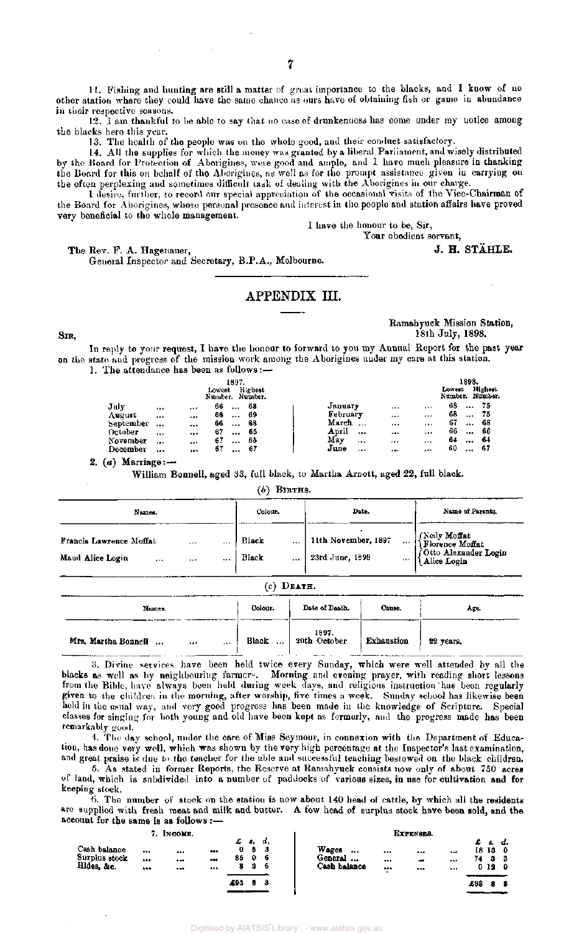11. Fishing and hunting are still a matter of great importance to the blacks, and I know of no other station where they could have the same chance as ours have of obtaining fish or game in abundance in their respective seasons.

12. I am thankful to be able to say that no case of drunkenness has come under my notice among the blacks here this year.

13. The health of the people was on the whole good, and their conduct satisfactory.

14. All the supplies for which the money was granted by a liberal Parliament, and wisely distributed by the Board for Protection of Aborigines, were good and ample, and I have much pleasure in thanking the Board for this on behalf of the Aborigines, as well as for the prompt assistance given in carrying on the often perplexing and sometimes difficult task of dealing with the Aborigines in our charge.

I desire, further, to record our special appreciation of the occasional visits of the Vice-Chairman of the Board for Aborigines, whose personal presence and interest in the people and station affairs have proved very beneficial to the whole management.

I have the honour to be, Sir,

Your obedient servant,

The Rev. F. A. Hagenauer,  $J. H. STÅHLE.$ 

General Inspector and Secretary, B.P.A., Melbourne.

### APPENDIX III.

SIR,

Ramahyuck Mission Station, 18th July, 1898.

In reply to your request, I have the honour to forward to you my Annual Report for the past year on the state and progress of the mission work among the Aborigines under my care at this station.

| 1. The attendance has been as follows:— |
|-----------------------------------------|
|-----------------------------------------|

|                   |          |          | 1897.<br>Lowest<br>Number. Number. | Hichest |          |          |          |                | 1898.<br>Lowest<br>Number. Number. | Highest         |  |
|-------------------|----------|----------|------------------------------------|---------|----------|----------|----------|----------------|------------------------------------|-----------------|--|
| July              | $\cdots$ |          | 66<br>$\cdots$                     | -68     | January  |          |          | $\cdots$       | 68                                 | 75<br>$\cdots$  |  |
| August            |          |          | 68<br>$\cdots$                     | -69     | February |          |          |                | 68                                 | 75<br>          |  |
| September         |          | $+ 14$   | 66<br>$\cdots$                     | -68     | March    | $\cdots$ | $\cdots$ | $\cdots$       | 67                                 | -68<br>$\cdots$ |  |
| October           | $\cdots$ |          | 67<br>$\cdots$                     | 65      | April    |          |          | $-0.4$         | 66                                 | 66<br>$\cdots$  |  |
| November          | $\cdots$ | $\cdots$ | 67<br>                             | 65      | May      |          |          |                | 64                                 | -64<br>         |  |
| De <b>cembe</b> r |          |          | 67<br>$\cdots$                     | -67     | June     |          | $-1$     | $\overline{a}$ | 60                                 | -67<br>$\cdots$ |  |

2. (a) Marriage: $-$ 

William Bonnell, aged 33, full black, to Martha Arnott, aged 22, full black.

 $(b)$  BIRTHS.

| Names.                                                                 | Colour. | Date.              | Name of Parents.                           |                                                                         |  |
|------------------------------------------------------------------------|---------|--------------------|--------------------------------------------|-------------------------------------------------------------------------|--|
| <b>Francis Lawrence Moffat</b><br>$\cdots$<br>Maud Alice Login<br><br> | <br>    | Black<br>Black<br> | 11th November, 1897<br>23rd June, 1898<br> | Nedy Moffat<br> {Florence Moffat<br>Otto Alexander Login<br>Alice Login |  |

|--|--|

| -----<br>Names.                                  | Colour.           | Date of Death.        | Саиве.<br>--      | Age.      |
|--------------------------------------------------|-------------------|-----------------------|-------------------|-----------|
| Mrs. Martha Bonnell<br>$\ddotsc$<br><br>$\cdots$ | Black<br>$\cdots$ | 1897.<br>20th October | <b>Exhaustion</b> | 22 years. |

3. Divine services have been held twice every Sunday, which were well attended by all the blacks as well as by neighbouring farmers. Morning and evening prayer, with reading short lessons from the Bible, have always been held during week days, and religious instruction has been regularly given to the children in the morning, after worship, five times a week. Sunday school has likewise been held in the usual way, and very good progress has been made in the knowledge of Scripture. Special classes for singing for both young and old have been kept as formerly, and the progress made has been remarkably good.

4. The day school, under the care of Miss Seymour, in connexion with the Department of Education, has done very well, which was shown by the very high percentage at the Inspector's last examination, and great praise is due to the teacher for the able and successful teaching bestowed on the black children.

5. As stated in former Reports, the Reserve at Ramahyuck consists now only of about 750 acres of land, which is subdivided into a number of paddocks of various sizes, in use for cultivation and for keeping stock.

 $6.$  The number of stock on the station is now about 140 head of cattle, by which all the residents are supplied with fresh meat and milk and butter. A few head of surplus stock have been sold, and the account for the same is as follows :—

### 7. INCOME.

|                                             | 7. INCOME.       |                    |                   |     |                    |                  |                                      | ШІРЕКЯЕВ.                     |                                              |                                       |            |                   |                |
|---------------------------------------------|------------------|--------------------|-------------------|-----|--------------------|------------------|--------------------------------------|-------------------------------|----------------------------------------------|---------------------------------------|------------|-------------------|----------------|
| Cash balance<br>Surplus stock<br>Hides, &c. | <br><br>$\cdots$ | $$<br><br>$\cdots$ | <br>$\ddotsc$<br> | 85  | s.<br>5.<br>0<br>2 | d.<br>- 3<br>- 6 | Wages<br><br>General<br>Cash balance | <br><br>$\cdots$<br>$\bullet$ | <br>$\overline{\phantom{a}}$<br><b>B-SAP</b> | $\ddot{\phantom{0}}$<br>2.4.7<br>1.44 | £ s.<br>74 | 18 13<br>з<br>012 | a.<br>- 0<br>0 |
|                                             |                  |                    |                   | 493 | а                  | 3                |                                      |                               |                                              |                                       | £98        | 2                 |                |
|                                             |                  |                    |                   |     |                    |                  |                                      |                               |                                              |                                       |            |                   |                |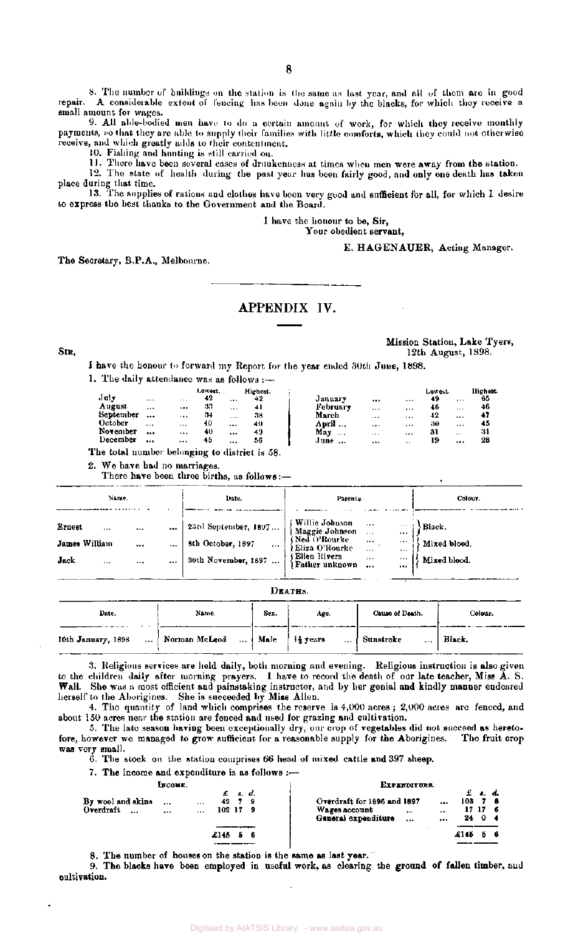8. The number of buildings on the station is the same as last year, and all of them are in good repair. A considerable extent of fencing has been done again by the blacks, for which they receive a small amount for wages.

9. All able-bodied men have to do a certain amount of work, for which they receive monthly payments, so that they are able to supply their families with little comforts, which they could not otherwise receive, and which greatly adds to their contentment.

10. Fishing and hunting is still carried on.

11. There have been several cases of drunkenness at times when men were away from the station.

12. The state of health during the past year has been fairly good, and only one death has taken place during that time.

13. The supplies of rations and clothes have been very good and sufficient for all, for which 1 desire to express the best thanks to the Government and the Board.

I have the honour to be, Sir,

### Your obedient servant,

E. HAGENAUER, Acting Manager.

The Secretary, B.P.A., Melbourne.

### APPENDIX IV.

Mission Station, Lake Tyers, Sin, 1998. In the state of the state of the state of the state of the state of the state of the state of the state of the state of the state of the state of the state of the state of the state of the state of the state of

I have the honour to forward my Report for the year ended 30th June, 1898.

1. The daily attendance was as follows :-

| July      |          |          | Lowest.<br>42 |          | Highest. |                 |          |           | Lowest. |                  | Highest. |
|-----------|----------|----------|---------------|----------|----------|-----------------|----------|-----------|---------|------------------|----------|
|           | $\sim$   | 1.11     |               | $\cdots$ | 42       | January         |          |           | 49      |                  | 65       |
| August    |          | $\cdots$ | 33            | $\cdots$ | $+1$     | February        | $\cdots$ |           | 46      |                  | 46       |
| September | $\cdots$ |          | 34            |          | 38       | March           |          |           | 42      |                  | 41       |
| October   | $\cdots$ | $\cdots$ | 40            | 1.11     | 40       | April           |          | $\cdots$  | 30      |                  | 45       |
| November  |          | $\cdots$ | 40            |          | 49       | May<br>$\cdots$ | $\cdots$ |           | 31      | $\bullet\bullet$ | 31       |
| December  |          | $- - -$  | 45            |          | 56       | June            | $\cdots$ | $\cdot$ . | 19      |                  | 28       |

The total number belonging to district is 58.

2. We have had no marriages.

There have been three births, as follows:-

| Name.                                                                                   | Date.                                                                        | Parente.                                                                                                                                                                                                                     | Colour.                                |  |  |
|-----------------------------------------------------------------------------------------|------------------------------------------------------------------------------|------------------------------------------------------------------------------------------------------------------------------------------------------------------------------------------------------------------------------|----------------------------------------|--|--|
| Ernest<br><br>$\cdots$<br>$\cdots$<br>James William<br><br><br>Jack<br>$\cdots$<br><br> | 23rd September, 1897<br>8th October, 1897<br>$\cdots$<br>30th November, 1897 | Willie Johnson<br>    Maggie Johnson<br>$\mathbf{r} \cdot \mathbf{r} = -1$<br><br>(Ned O'Rourke)<br> Eliza O'Rourke<br><br>$\cdots$<br>1.1.1<br>$\cdots$<br>(Ellen Rivers)<br>$+ + +$<br><br>Father unknown<br>$\ddotsc$<br> | Black.<br>Mixed blood.<br>Mixed blood. |  |  |

| R.<br>٠<br>А<br>ID.<br>٠ |
|--------------------------|
|--------------------------|

| Date.              | Name.                                        | Sex. | Age. | Cause of Death.       | Colour. |
|--------------------|----------------------------------------------|------|------|-----------------------|---------|
| 10th January, 1898 | Norman McLeod    Male   $\frac{11}{2}$ years |      |      | Sunstroke<br>$\cdots$ | Biack.  |

3. Religious services are held daily, both morning and evening. Religious instruction is also given to the children daily after morning prayers. I have to record the death of our late teacher, Miss A. S. Wall. She was a most efficient and painstaking instructor, and by her genial and kindly manner endeared herself to the Aborigines. She is succeeded by Miss Allen.

4. The quantity of land which comprises the reserve is  $4,000$  acres ;  $2,000$  acres are fenced, and about 150 acres near the station are fenced and used for grazing and cultivation.

5. The late season having been exceptionally dry, our crop of vegetables did not succeed as hereto-<br>wever we managed to grow sufficient for a reasonable supply for the Aborigines. The fruit crop fore, however we managed to grow sufficient for a reasonable supply for the Aborigines. was very small.

6. The stock on the station comprises 66 head of mixed cattle and 397 sheep.

7. The income and expenditure is as follows  $:=$ 

|                                    | Іксоми.                     |        |                 |     | EXPERDITURE.                                                        |                  |                         |                          |    |  |
|------------------------------------|-----------------------------|--------|-----------------|-----|---------------------------------------------------------------------|------------------|-------------------------|--------------------------|----|--|
| By wool and skins<br>Overdraft<br> | $\cdots$<br>$+ - 1$<br><br> | 102179 | £s.d.<br>42 7 9 |     | Overdraft for 1896 and 1897<br>Wages account<br>General expenditure | $\mathbf{r}$<br> | 103<br><br>$\cdots$<br> | £ s. d.<br>17176<br>24 0 | 78 |  |
|                                    |                             | £145   | 5               | - 6 |                                                                     |                  | £145                    |                          | Б. |  |

8. The number of houses on the station is the same as last year.

9. The blacks have been employed in useful work, as clearing the ground of fallen timber, and cultivation.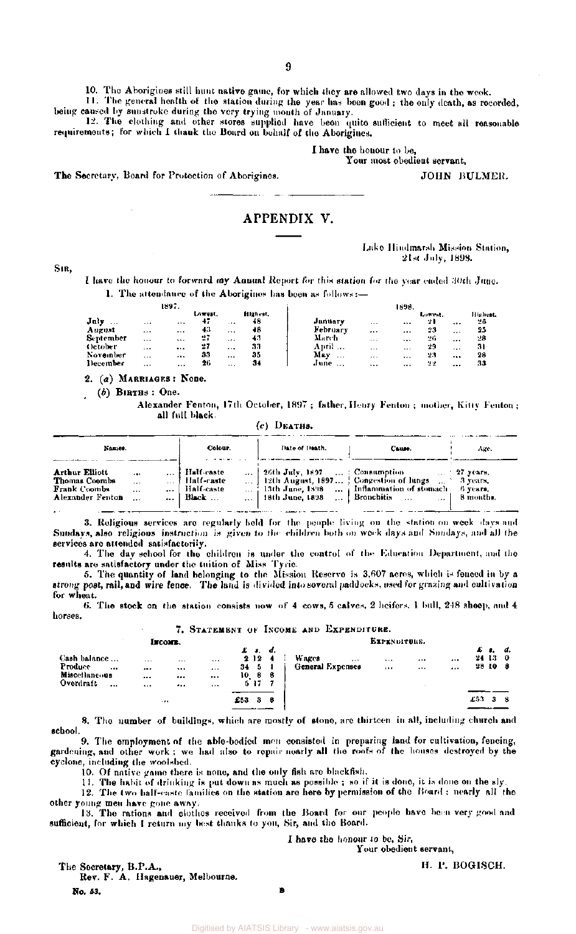**10.** The Aborigines still hunt native game, for which they are allowed two days in the week.

**1 1 . Th e genera l health of th e station during the yea r has been goo d ; th e onl y death, a s recorded, bein g cause d by sunstrok e during the ver y tryin g mont h of January .** 

**1 2 . Th e clothin g and othe r store s supplied hav e been quit e sufficient to mee t all reasonabl e**  requirements; for which I thank the Board on behalf of the Aborigines.

I have the honour to be,

Your most obedient servant,

**T h e Secretary , Board for Protectio n o f Aborigines.** 

### APPENDIX V.

### **Lake Hindmarsh Mission Station, 21st July , 1893 .**

JOHN BULMER.

**SIR ,** 

**1 hav e th e honou r to forwar d m y Annua l Repor t for this statio n for the yea r ende d 30t h June . 1.** The attendance of the Aborigines has been as follows:—

|                  |          | 1897.    |         |          |          |                  |          | 1898.    |         |                   |         |
|------------------|----------|----------|---------|----------|----------|------------------|----------|----------|---------|-------------------|---------|
|                  |          |          | Lowest. |          | Highest. |                  |          |          | Lowest. |                   | Highest |
| July<br>$\cdots$ |          | $\cdots$ | 47      |          | 48       | January          | 1.5.4    |          | 21      |                   | 26      |
| August           | $\cdots$ |          | 43      | 1.14     | 48       | <b>February</b>  | $\cdots$ |          | 23      | $\leftrightarrow$ | 25      |
| September        | $\cdots$ |          | 27      |          | 43       | March            | $\cdots$ | $\cdots$ | 26      |                   | 28      |
| October          | $\cdots$ | $\cdots$ | 27      | $\cdots$ | 33       | April            | $\cdots$ | $\cdots$ | 29      |                   | 31      |
| November         | $\cdots$ |          | 33      | $\cdots$ | 35       | May<br>$\cdots$  | $\cdots$ | $\cdots$ | 23      |                   | 28      |
| December         |          |          | 26      | $\cdots$ | 34       | June<br>$\cdots$ |          |          | 실심      | $\cdots$          | 33      |

**2 . (a ) MARRIAGE S : None .** 

*(b)* **BIRTH S : One .** 

**Alexande r Fenton , 17th October , 189 7 ; father , Henr y Fento n ; mother , Kitt y Fenton ; all full black.** 

|  | $(c)$ DEATHS. |  |  |
|--|---------------|--|--|
|  |               |  |  |

| Names.                                                                            |                                                       | Colour.                                                    | <b>Date of Death.</b>                                                  | Cause.                                                                                                                                                               | Age.                              |
|-----------------------------------------------------------------------------------|-------------------------------------------------------|------------------------------------------------------------|------------------------------------------------------------------------|----------------------------------------------------------------------------------------------------------------------------------------------------------------------|-----------------------------------|
| <b>Arthur Elliott</b><br>Thomas Coombs<br><b>Frank Coombs</b><br>Alexander Fenton | .<br>$\mathbf{r}$<br>$\cdots$<br>$\cdots$<br>$\cdots$ | i Half caste<br>† Half-caste<br>Half-caste<br>$ $ Black $$ | $\ldots$   26th July, 1897 $\ldots$ : Consumption<br>  18th June, 1898 | 12th August, 1897   Congestion of lungs $\ldots$ 3 years,<br>$\ldots$ : 13th June, 1898 $\ldots$ inflammation of stomach $\ldots$ 6 years.<br>Bronchitis<br>$\cdots$ | $\ldots$ 27 years.<br>– 8 months. |

**3 . Religiou s service s ar e regularl y held for the peopl e livin g on the station on wee k day s and Sundays, als o religiou s instruction is give n to the children both on wee k day s and Sundays, and all the**   $s$ ervices are attended satisfactorily.

**4. Th e da y schoo l for the children is unde r th e control of the Educatio n Department, and the results are satisfactor y unde r th e tuition of Miss Tyrie .** 

**5 . Th e quantit y of land belongin g to the Missio n Reserv e is 3,60 7 acres, whic h is fenced in by a**  atrong post, rail, and wire fence. The land is divided into several paddocks, used for grazing and cultivation **for wheat.** 

**6.** The stock on the station consists now of 4 cows, 5 calves, 2 heifers. 1 bull, 248 sheep, and 4 **horses.** 

### 7. STATEMENT OF INCOME AND EXPENDITURE.

|                                                           |                      | Інсомв.              |              |          |                                                                        | EXPENDITURE. |  |       |                              |      |                      |              |     |                        |                |  |  |  |  |  |
|-----------------------------------------------------------|----------------------|----------------------|--------------|----------|------------------------------------------------------------------------|--------------|--|-------|------------------------------|------|----------------------|--------------|-----|------------------------|----------------|--|--|--|--|--|
| Cash balance<br>Produce<br>$***$<br>Miscellaneo <b>us</b> | $\cdots$<br>$\cdots$ | $\cdots$<br>$\cdots$ | <br>         | 34<br>10 | $\boldsymbol{\pmb{L}}$ , $\boldsymbol{\pmb{d}}$ ,<br>2124<br>- 5<br>88 |              |  | Wages | $\cdots$<br>General Expenses | <br> | $\cdots$<br>$\cdots$ | $\cdots$<br> |     | £ 1.<br>24 13<br>28 10 | d.<br>0<br>- 8 |  |  |  |  |  |
| Overdraft<br>                                             | <br>                 | <br><br>.            | $\cdots$<br> | £53      | 517<br>3                                                               | в            |  |       |                              |      |                      |              | £53 | я                      |                |  |  |  |  |  |

**8. Th e numbe r of buildings, whic h ar e mostl y of stone , ar e thirteen in all, includin g church and school.** 

**9 . Th e employmen t of th e able-bodie d me n consiste d in preparing land for cultivation , fencing , gardening , and othe r work ; w e had als o to repai r nearl y all the roofs of the house s destroyed b y th e cyclone , includin g the woolshed .** 

**10. Of nativ e gam e ther e is none , and the onl y fish are blackfish.** 

**1 1 . Th e habit of drinkin g is put dow n as muc h a s possibl e ; so if it is done , it is done on the sly . 1 2 . Th e tw o half-cast e familie s on the station are her e b y permission of the Hoard ; nearl y all the** 

**othe r youn g me n hav e gon e away .** 

**1 3 . Th e rations and clothe s received from th e Boar d for our peopl e hav e been ver y goo d and**  sufficient, for which I return my best thanks to you, Sir, and the Board.

B

I have the honour to be, Sir,

Your obedient servant,

**T h e Secretary , B.P.A. , Rev . F . A . Hagenauer , Melbourne . N o. 53.** 

H. P. BOGISCH.